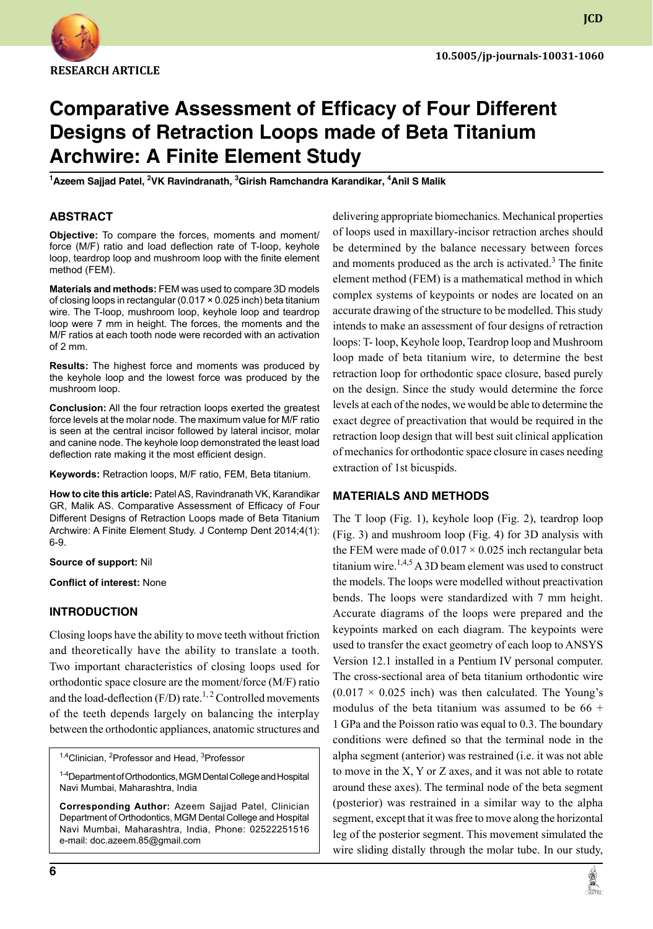

**JCD**

# **Comparative Assessment of Efficacy of Four Different Designs of Retraction Loops made of Beta Titanium Archwire: A Finite Element Study**

**1 Azeem Sajjad Patel, <sup>2</sup> VK Ravindranath, <sup>3</sup> Girish Ramchandra Karandikar, <sup>4</sup> Anil S Malik**

### **ABSTRACT**

**Objective:** To compare the forces, moments and moment/ force (M/F) ratio and load deflection rate of T-loop, keyhole loop, teardrop loop and mushroom loop with the finite element method (FEM).

**Materials and methods:** FEM was used to compare 3D models of closing loops in rectangular (0.017 × 0.025 inch) beta titanium wire. The T-loop, mushroom loop, keyhole loop and teardrop loop were 7 mm in height. The forces, the moments and the M/F ratios at each tooth node were recorded with an activation of 2 mm.

**Results:** The highest force and moments was produced by the keyhole loop and the lowest force was produced by the mushroom loop.

**Conclusion:** All the four retraction loops exerted the greatest force levels at the molar node. The maximum value for M/F ratio is seen at the central incisor followed by lateral incisor, molar and canine node. The keyhole loop demonstrated the least load deflection rate making it the most efficient design.

**Keywords:** Retraction loops, M/F ratio, FEM, Beta titanium.

**How to cite this article:** Patel AS, Ravindranath VK, Karandikar GR, Malik AS. Comparative Assessment of Efficacy of Four Different Designs of Retraction Loops made of Beta Titanium Archwire: A Finite Element Study. J Contemp Dent 2014;4(1): 6-9.

#### **Source of support:** Nil

**Conflict of interest:** None

### **Introduction**

Closing loops have the ability to move teeth without friction and theoretically have the ability to translate a tooth. Two important characteristics of closing loops used for orthodontic space closure are the moment/force (M/F) ratio and the load-deflection  $(F/D)$  rate.<sup>1, 2</sup> Controlled movements of the teeth depends largely on balancing the interplay between the orthodontic appliances, anatomic structures and

<sup>1,4</sup>Clinician, <sup>2</sup>Professor and Head, <sup>3</sup>Professor

<sup>1-4</sup>Department of Orthodontics, MGM Dental College and Hospital Navi Mumbai, Maharashtra, India

**Corresponding Author:** Azeem Sajjad Patel, Clinician Department of Orthodontics, MGM Dental College and Hospital Navi Mumbai, Maharashtra, India, Phone: 02522251516 e-mail: doc.azeem.85@gmail.com

delivering appropriate biomechanics. Mechanical properties of loops used in maxillary-incisor retraction arches should be determined by the balance necessary between forces and moments produced as the arch is activated.<sup>3</sup> The finite element method (FEM) is a mathematical method in which complex systems of keypoints or nodes are located on an accurate drawing of the structure to be modelled. This study intends to make an assessment of four designs of retraction loops: T- loop, Keyhole loop, Teardrop loop and Mushroom loop made of beta titanium wire, to determine the best retraction loop for orthodontic space closure, based purely on the design. Since the study would determine the force levels at each of the nodes, we would be able to determine the exact degree of preactivation that would be required in the retraction loop design that will best suit clinical application of mechanics for orthodontic space closure in cases needing extraction of 1st bicuspids.

### **Materials and Methods**

The T loop (Fig. 1), keyhole loop (Fig. 2), teardrop loop (Fig. 3) and mushroom loop (Fig. 4) for 3D analysis with the FEM were made of  $0.017 \times 0.025$  inch rectangular beta titanium wire.<sup>1,4,5</sup> A 3D beam element was used to construct the models. The loops were modelled without preactivation bends. The loops were standardized with 7 mm height. Accurate diagrams of the loops were prepared and the keypoints marked on each diagram. The keypoints were used to transfer the exact geometry of each loop to ANSYS Version 12.1 installed in a Pentium IV personal computer. The cross-sectional area of beta titanium orthodontic wire  $(0.017 \times 0.025$  inch) was then calculated. The Young's modulus of the beta titanium was assumed to be  $66 +$ 1 GPa and the Poisson ratio was equal to 0.3. The boundary conditions were defined so that the terminal node in the alpha segment (anterior) was restrained (i.e. it was not able to move in the X, Y or Z axes, and it was not able to rotate around these axes). The terminal node of the beta segment (posterior) was restrained in a similar way to the alpha segment, except that it was free to move along the horizontal leg of the posterior segment. This movement simulated the wire sliding distally through the molar tube. In our study,

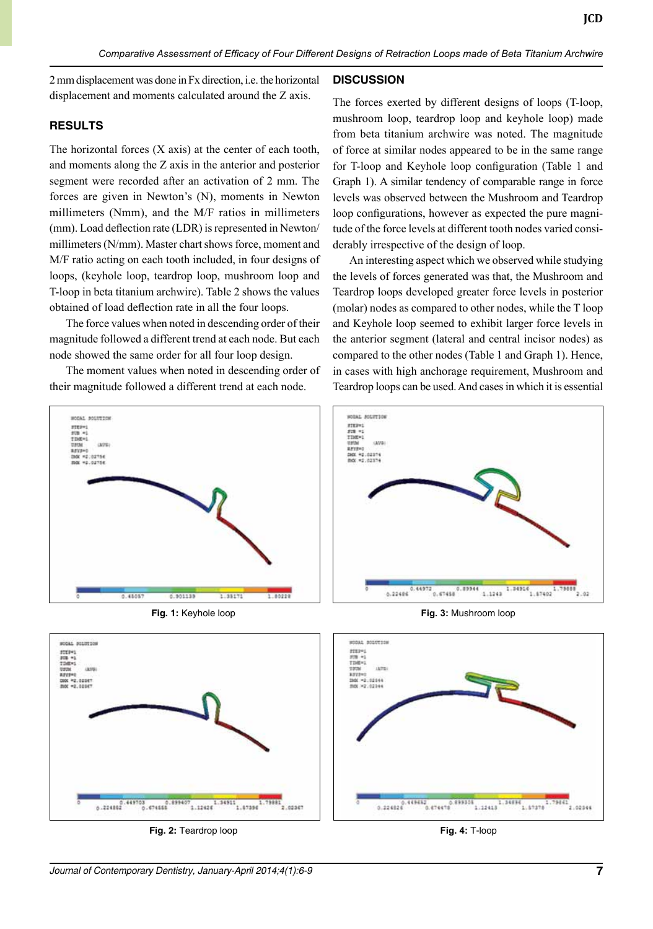2 mm displacement was done in Fx direction, i.e. the horizontal displacement and moments calculated around the Z axis.

## **Results**

The horizontal forces  $(X \text{ axis})$  at the center of each tooth, and moments along the Z axis in the anterior and posterior segment were recorded after an activation of 2 mm. The forces are given in Newton's (N), moments in Newton millimeters (Nmm), and the M/F ratios in millimeters (mm). Load deflection rate (LDR) is represented in Newton/ millimeters (N/mm). Master chart shows force, moment and M/F ratio acting on each tooth included, in four designs of loops, (keyhole loop, teardrop loop, mushroom loop and T-loop in beta titanium archwire). Table 2 shows the values obtained of load deflection rate in all the four loops.

The force values when noted in descending order of their magnitude followed a different trend at each node. But each node showed the same order for all four loop design.

The moment values when noted in descending order of their magnitude followed a different trend at each node.

## **Discussion**

The forces exerted by different designs of loops (T-loop, mushroom loop, teardrop loop and keyhole loop) made from beta titanium archwire was noted. The magnitude of force at similar nodes appeared to be in the same range for T-loop and Keyhole loop configuration (Table 1 and Graph 1). A similar tendency of comparable range in force levels was observed between the Mushroom and Teardrop loop configurations, however as expected the pure magnitude of the force levels at different tooth nodes varied considerably irrespective of the design of loop.

An interesting aspect which we observed while studying the levels of forces generated was that, the Mushroom and Teardrop loops developed greater force levels in posterior (molar) nodes as compared to other nodes, while the T loop and Keyhole loop seemed to exhibit larger force levels in the anterior segment (lateral and central incisor nodes) as compared to the other nodes (Table 1 and Graph 1). Hence, in cases with high anchorage requirement, Mushroom and Teardrop loops can be used. And cases in which it is essential



**Fig. 2:** Teardrop loop

**Fig. 4:** T-loop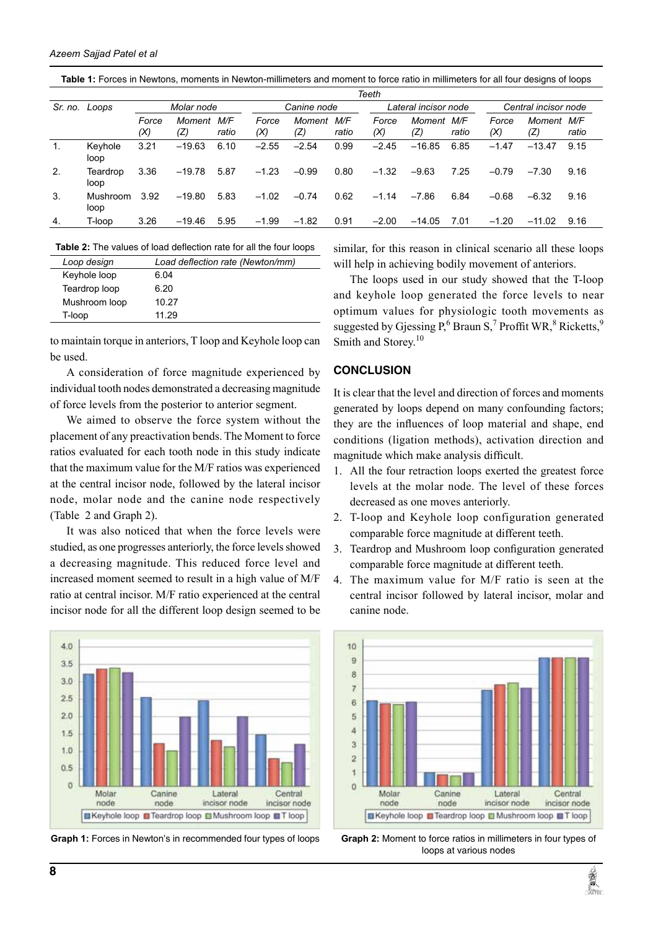| Table 1: Forces in Newtons, moments in Newton-millimeters and moment to force ratio in millimeters for all four designs of loops |  |
|----------------------------------------------------------------------------------------------------------------------------------|--|
|----------------------------------------------------------------------------------------------------------------------------------|--|

|         |                  | Teeth        |               |              |              |               |              |                      |               |              |                      |                   |       |
|---------|------------------|--------------|---------------|--------------|--------------|---------------|--------------|----------------------|---------------|--------------|----------------------|-------------------|-------|
| Sr. no. | Loops            | Molar node   |               |              | Canine node  |               |              | Lateral incisor node |               |              | Central incisor node |                   |       |
|         |                  | Force<br>(X) | Moment<br>(Z) | M/F<br>ratio | Force<br>(X) | Moment<br>(Z) | M/F<br>ratio | Force<br>(X)         | Moment<br>(Z) | M/F<br>ratio | Force<br>(X)         | Moment M/F<br>(Z) | ratio |
| 1.      | Keyhole<br>loop  | 3.21         | $-19.63$      | 6.10         | $-2.55$      | $-2.54$       | 0.99         | $-2.45$              | $-16.85$      | 6.85         | $-1.47$              | $-13.47$          | 9.15  |
| 2.      | Teardrop<br>loop | 3.36         | $-19.78$      | 5.87         | $-1.23$      | $-0.99$       | 0.80         | $-1.32$              | $-9.63$       | 7.25         | $-0.79$              | $-7.30$           | 9.16  |
| 3.      | Mushroom<br>loop | 3.92         | $-19.80$      | 5.83         | $-1.02$      | $-0.74$       | 0.62         | $-1.14$              | $-7.86$       | 6.84         | $-0.68$              | $-6.32$           | 9.16  |
| 4.      | T-loop           | 3.26         | $-19.46$      | 5.95         | $-1.99$      | $-1.82$       | 0.91         | $-2.00$              | $-14.05$      | 7.01         | $-1.20$              | $-11.02$          | 9.16  |

**Table 2:** The values of load deflection rate for all the four loops

| Loop design   | Load deflection rate (Newton/mm) |
|---------------|----------------------------------|
| Keyhole loop  | 6.04                             |
| Teardrop loop | 6.20                             |
| Mushroom loop | 10.27                            |
| T-loop        | 11.29                            |

to maintain torque in anteriors, T loop and Keyhole loop can be used.

A consideration of force magnitude experienced by individual tooth nodes demonstrated a decreasing magnitude of force levels from the posterior to anterior segment.

We aimed to observe the force system without the placement of any preactivation bends. The Moment to force ratios evaluated for each tooth node in this study indicate that the maximum value for the M/F ratios was experienced at the central incisor node, followed by the lateral incisor node, molar node and the canine node respectively (Table 2 and Graph 2).

It was also noticed that when the force levels were studied, as one progresses anteriorly, the force levels showed a decreasing magnitude. This reduced force level and increased moment seemed to result in a high value of M/F ratio at central incisor. M/F ratio experienced at the central incisor node for all the different loop design seemed to be



Graph 1: Forces in Newton's in recommended four types of loops

similar, for this reason in clinical scenario all these loops will help in achieving bodily movement of anteriors.

The loops used in our study showed that the T-loop and keyhole loop generated the force levels to near optimum values for physiologic tooth movements as suggested by Gjessing P,<sup>6</sup> Braun S,<sup>7</sup> Proffit WR,<sup>8</sup> Ricketts,<sup>9</sup> Smith and Storey.<sup>10</sup>

#### **Conclusion**

It is clear that the level and direction of forces and moments generated by loops depend on many confounding factors; they are the influences of loop material and shape, end conditions (ligation methods), activation direction and magnitude which make analysis difficult.

- 1. All the four retraction loops exerted the greatest force levels at the molar node. The level of these forces decreased as one moves anteriorly.
- 2. T-loop and Keyhole loop configuration generated comparable force magnitude at different teeth.
- 3. Teardrop and Mushroom loop configuration generated comparable force magnitude at different teeth.
- 4. The maximum value for M/F ratio is seen at the central incisor followed by lateral incisor, molar and canine node.



**Graph 2:** Moment to force ratios in millimeters in four types of loops at various nodes